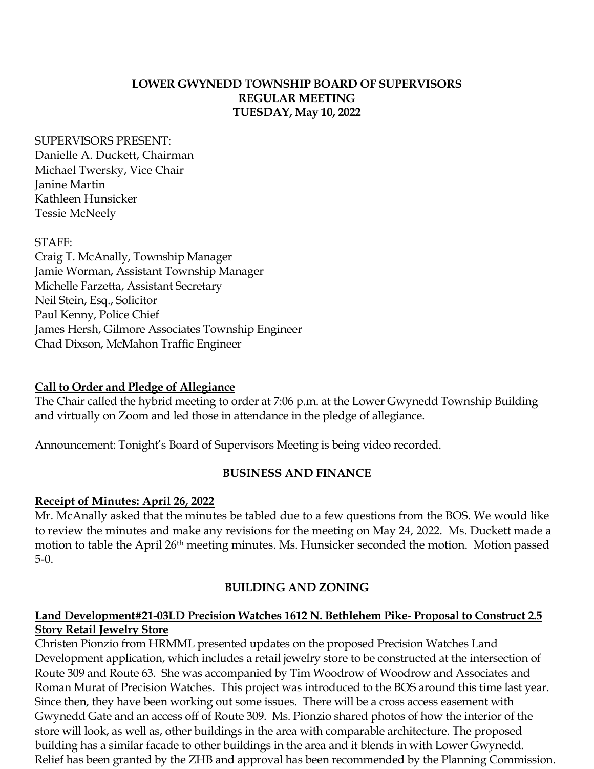#### **LOWER GWYNEDD TOWNSHIP BOARD OF SUPERVISORS REGULAR MEETING TUESDAY, May 10, 2022**

#### SUPERVISORS PRESENT:

Danielle A. Duckett, Chairman Michael Twersky, Vice Chair Janine Martin Kathleen Hunsicker Tessie McNeely

#### STAFF:

Craig T. McAnally, Township Manager Jamie Worman, Assistant Township Manager Michelle Farzetta, Assistant Secretary Neil Stein, Esq., Solicitor Paul Kenny, Police Chief James Hersh, Gilmore Associates Township Engineer Chad Dixson, McMahon Traffic Engineer

# **Call to Order and Pledge of Allegiance**

The Chair called the hybrid meeting to order at 7:06 p.m. at the Lower Gwynedd Township Building and virtually on Zoom and led those in attendance in the pledge of allegiance.

Announcement: Tonight's Board of Supervisors Meeting is being video recorded.

# **BUSINESS AND FINANCE**

# **Receipt of Minutes: April 26, 2022**

Mr. McAnally asked that the minutes be tabled due to a few questions from the BOS. We would like to review the minutes and make any revisions for the meeting on May 24, 2022. Ms. Duckett made a motion to table the April 26<sup>th</sup> meeting minutes. Ms. Hunsicker seconded the motion. Motion passed 5-0.

# **BUILDING AND ZONING**

#### **Land Development#21-03LD Precision Watches 1612 N. Bethlehem Pike- Proposal to Construct 2.5 Story Retail Jewelry Store**

Christen Pionzio from HRMML presented updates on the proposed Precision Watches Land Development application, which includes a retail jewelry store to be constructed at the intersection of Route 309 and Route 63. She was accompanied by Tim Woodrow of Woodrow and Associates and Roman Murat of Precision Watches. This project was introduced to the BOS around this time last year. Since then, they have been working out some issues. There will be a cross access easement with Gwynedd Gate and an access off of Route 309. Ms. Pionzio shared photos of how the interior of the store will look, as well as, other buildings in the area with comparable architecture. The proposed building has a similar facade to other buildings in the area and it blends in with Lower Gwynedd. Relief has been granted by the ZHB and approval has been recommended by the Planning Commission.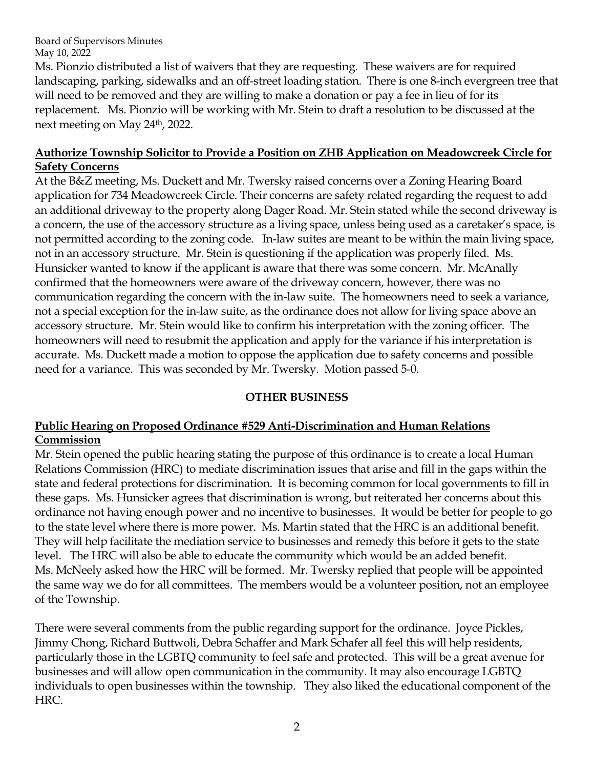Ms. Pionzio distributed a list of waivers that they are requesting. These waivers are for required landscaping, parking, sidewalks and an off-street loading station. There is one 8-inch evergreen tree that will need to be removed and they are willing to make a donation or pay a fee in lieu of for its replacement. Ms. Pionzio will be working with Mr. Stein to draft a resolution to be discussed at the next meeting on May 24th, 2022.

#### **Authorize Township Solicitor to Provide a Position on ZHB Application on Meadowcreek Circle for Safety Concerns**

At the B&Z meeting, Ms. Duckett and Mr. Twersky raised concerns over a Zoning Hearing Board application for 734 Meadowcreek Circle. Their concerns are safety related regarding the request to add an additional driveway to the property along Dager Road. Mr. Stein stated while the second driveway is a concern, the use of the accessory structure as a living space, unless being used as a caretaker's space, is not permitted according to the zoning code. In-law suites are meant to be within the main living space, not in an accessory structure. Mr. Stein is questioning if the application was properly filed. Ms. Hunsicker wanted to know if the applicant is aware that there was some concern. Mr. McAnally confirmed that the homeowners were aware of the driveway concern, however, there was no communication regarding the concern with the in-law suite. The homeowners need to seek a variance, not a special exception for the in-law suite, as the ordinance does not allow for living space above an accessory structure. Mr. Stein would like to confirm his interpretation with the zoning officer. The homeowners will need to resubmit the application and apply for the variance if his interpretation is accurate. Ms. Duckett made a motion to oppose the application due to safety concerns and possible need for a variance. This was seconded by Mr. Twersky. Motion passed 5-0.

# **OTHER BUSINESS**

# **Public Hearing on Proposed Ordinance #529 Anti-Discrimination and Human Relations Commission**

Mr. Stein opened the public hearing stating the purpose of this ordinance is to create a local Human Relations Commission (HRC) to mediate discrimination issues that arise and fill in the gaps within the state and federal protections for discrimination. It is becoming common for local governments to fill in these gaps. Ms. Hunsicker agrees that discrimination is wrong, but reiterated her concerns about this ordinance not having enough power and no incentive to businesses. It would be better for people to go to the state level where there is more power. Ms. Martin stated that the HRC is an additional benefit. They will help facilitate the mediation service to businesses and remedy this before it gets to the state level. The HRC will also be able to educate the community which would be an added benefit. Ms. McNeely asked how the HRC will be formed. Mr. Twersky replied that people will be appointed the same way we do for all committees. The members would be a volunteer position, not an employee of the Township.

There were several comments from the public regarding support for the ordinance. Joyce Pickles, Jimmy Chong, Richard Buttwoli, Debra Schaffer and Mark Schafer all feel this will help residents, particularly those in the LGBTQ community to feel safe and protected. This will be a great avenue for businesses and will allow open communication in the community. It may also encourage LGBTQ individuals to open businesses within the township. They also liked the educational component of the HRC.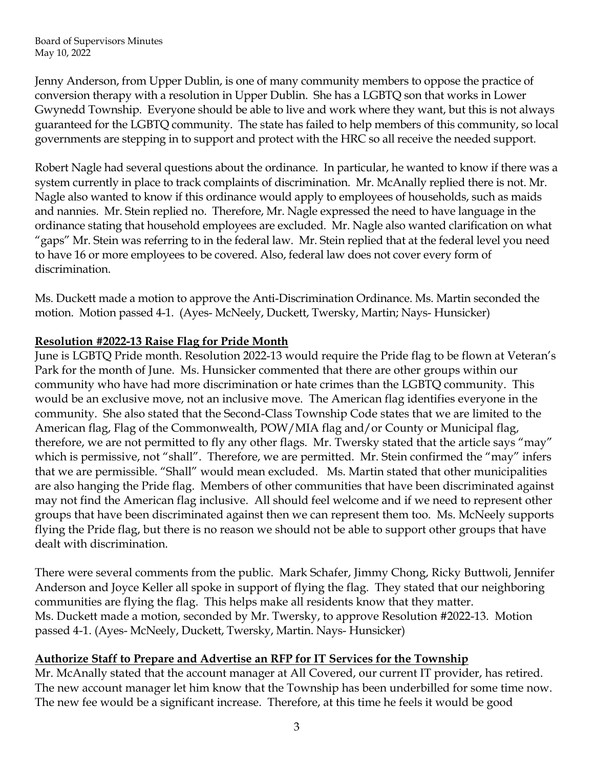Jenny Anderson, from Upper Dublin, is one of many community members to oppose the practice of conversion therapy with a resolution in Upper Dublin. She has a LGBTQ son that works in Lower Gwynedd Township. Everyone should be able to live and work where they want, but this is not always guaranteed for the LGBTQ community. The state has failed to help members of this community, so local governments are stepping in to support and protect with the HRC so all receive the needed support.

Robert Nagle had several questions about the ordinance. In particular, he wanted to know if there was a system currently in place to track complaints of discrimination. Mr. McAnally replied there is not. Mr. Nagle also wanted to know if this ordinance would apply to employees of households, such as maids and nannies. Mr. Stein replied no. Therefore, Mr. Nagle expressed the need to have language in the ordinance stating that household employees are excluded. Mr. Nagle also wanted clarification on what "gaps" Mr. Stein was referring to in the federal law. Mr. Stein replied that at the federal level you need to have 16 or more employees to be covered. Also, federal law does not cover every form of discrimination.

Ms. Duckett made a motion to approve the Anti-Discrimination Ordinance. Ms. Martin seconded the motion. Motion passed 4-1. (Ayes- McNeely, Duckett, Twersky, Martin; Nays- Hunsicker)

# **Resolution #2022-13 Raise Flag for Pride Month**

June is LGBTQ Pride month. Resolution 2022-13 would require the Pride flag to be flown at Veteran's Park for the month of June. Ms. Hunsicker commented that there are other groups within our community who have had more discrimination or hate crimes than the LGBTQ community. This would be an exclusive move, not an inclusive move. The American flag identifies everyone in the community. She also stated that the Second-Class Township Code states that we are limited to the American flag, Flag of the Commonwealth, POW/MIA flag and/or County or Municipal flag, therefore, we are not permitted to fly any other flags. Mr. Twersky stated that the article says "may" which is permissive, not "shall". Therefore, we are permitted. Mr. Stein confirmed the "may" infers that we are permissible. "Shall" would mean excluded. Ms. Martin stated that other municipalities are also hanging the Pride flag. Members of other communities that have been discriminated against may not find the American flag inclusive. All should feel welcome and if we need to represent other groups that have been discriminated against then we can represent them too. Ms. McNeely supports flying the Pride flag, but there is no reason we should not be able to support other groups that have dealt with discrimination.

There were several comments from the public. Mark Schafer, Jimmy Chong, Ricky Buttwoli, Jennifer Anderson and Joyce Keller all spoke in support of flying the flag. They stated that our neighboring communities are flying the flag. This helps make all residents know that they matter. Ms. Duckett made a motion, seconded by Mr. Twersky, to approve Resolution #2022-13. Motion passed 4-1. (Ayes- McNeely, Duckett, Twersky, Martin. Nays- Hunsicker)

# **Authorize Staff to Prepare and Advertise an RFP for IT Services for the Township**

Mr. McAnally stated that the account manager at All Covered, our current IT provider, has retired. The new account manager let him know that the Township has been underbilled for some time now. The new fee would be a significant increase. Therefore, at this time he feels it would be good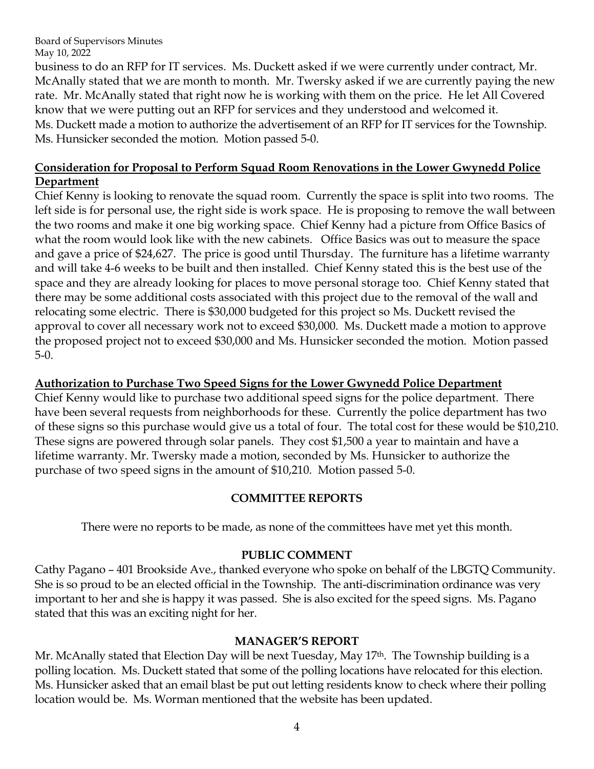business to do an RFP for IT services. Ms. Duckett asked if we were currently under contract, Mr. McAnally stated that we are month to month. Mr. Twersky asked if we are currently paying the new rate. Mr. McAnally stated that right now he is working with them on the price. He let All Covered know that we were putting out an RFP for services and they understood and welcomed it. Ms. Duckett made a motion to authorize the advertisement of an RFP for IT services for the Township. Ms. Hunsicker seconded the motion. Motion passed 5-0.

#### **Consideration for Proposal to Perform Squad Room Renovations in the Lower Gwynedd Police Department**

Chief Kenny is looking to renovate the squad room. Currently the space is split into two rooms. The left side is for personal use, the right side is work space. He is proposing to remove the wall between the two rooms and make it one big working space. Chief Kenny had a picture from Office Basics of what the room would look like with the new cabinets. Office Basics was out to measure the space and gave a price of \$24,627. The price is good until Thursday. The furniture has a lifetime warranty and will take 4-6 weeks to be built and then installed. Chief Kenny stated this is the best use of the space and they are already looking for places to move personal storage too. Chief Kenny stated that there may be some additional costs associated with this project due to the removal of the wall and relocating some electric. There is \$30,000 budgeted for this project so Ms. Duckett revised the approval to cover all necessary work not to exceed \$30,000. Ms. Duckett made a motion to approve the proposed project not to exceed \$30,000 and Ms. Hunsicker seconded the motion. Motion passed 5-0.

#### **Authorization to Purchase Two Speed Signs for the Lower Gwynedd Police Department**

Chief Kenny would like to purchase two additional speed signs for the police department. There have been several requests from neighborhoods for these. Currently the police department has two of these signs so this purchase would give us a total of four. The total cost for these would be \$10,210. These signs are powered through solar panels. They cost \$1,500 a year to maintain and have a lifetime warranty. Mr. Twersky made a motion, seconded by Ms. Hunsicker to authorize the purchase of two speed signs in the amount of \$10,210. Motion passed 5-0.

#### **COMMITTEE REPORTS**

There were no reports to be made, as none of the committees have met yet this month.

# **PUBLIC COMMENT**

Cathy Pagano – 401 Brookside Ave., thanked everyone who spoke on behalf of the LBGTQ Community. She is so proud to be an elected official in the Township. The anti-discrimination ordinance was very important to her and she is happy it was passed. She is also excited for the speed signs. Ms. Pagano stated that this was an exciting night for her.

# **MANAGER'S REPORT**

Mr. McAnally stated that Election Day will be next Tuesday, May 17<sup>th</sup>. The Township building is a polling location. Ms. Duckett stated that some of the polling locations have relocated for this election. Ms. Hunsicker asked that an email blast be put out letting residents know to check where their polling location would be. Ms. Worman mentioned that the website has been updated.